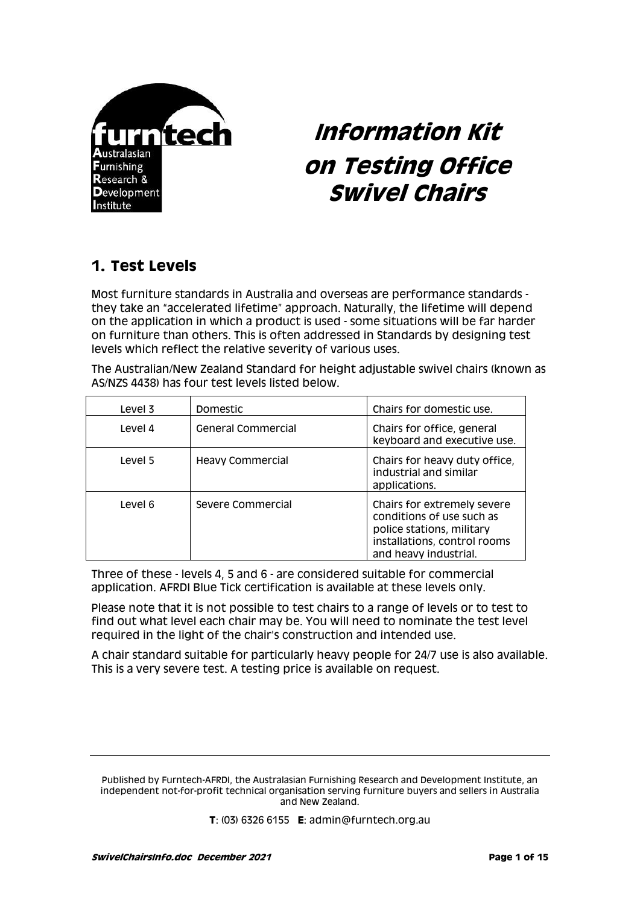

# **Information Kit on Testing Office Swivel Chairs**

# **1. Test Levels**

Most furniture standards in Australia and overseas are performance standards they take an "accelerated lifetime" approach. Naturally, the lifetime will depend on the application in which a product is used - some situations will be far harder on furniture than others. This is often addressed in Standards by designing test levels which reflect the relative severity of various uses.

The Australian/New Zealand Standard for height adjustable swivel chairs (known as AS/NZS 4438) has four test levels listed below.

| Level 3 | Domestic                  | Chairs for domestic use.                                                                                                                       |
|---------|---------------------------|------------------------------------------------------------------------------------------------------------------------------------------------|
| Level 4 | <b>General Commercial</b> | Chairs for office, general<br>keyboard and executive use.                                                                                      |
| Level 5 | <b>Heavy Commercial</b>   | Chairs for heavy duty office,<br>industrial and similar<br>applications.                                                                       |
| Level 6 | Severe Commercial         | Chairs for extremely severe<br>conditions of use such as<br>police stations, military<br>installations, control rooms<br>and heavy industrial. |

Three of these - levels 4, 5 and 6 - are considered suitable for commercial application. AFRDI Blue Tick certification is available at these levels only.

Please note that it is not possible to test chairs to a range of levels or to test to find out what level each chair may be. You will need to nominate the test level required in the light of the chair's construction and intended use.

A chair standard suitable for particularly heavy people for 24/7 use is also available. This is a very severe test. A testing price is available on request.

Published by Furntech-AFRDI, the Australasian Furnishing Research and Development Institute, an independent not-for-profit technical organisation serving furniture buyers and sellers in Australia and New Zealand.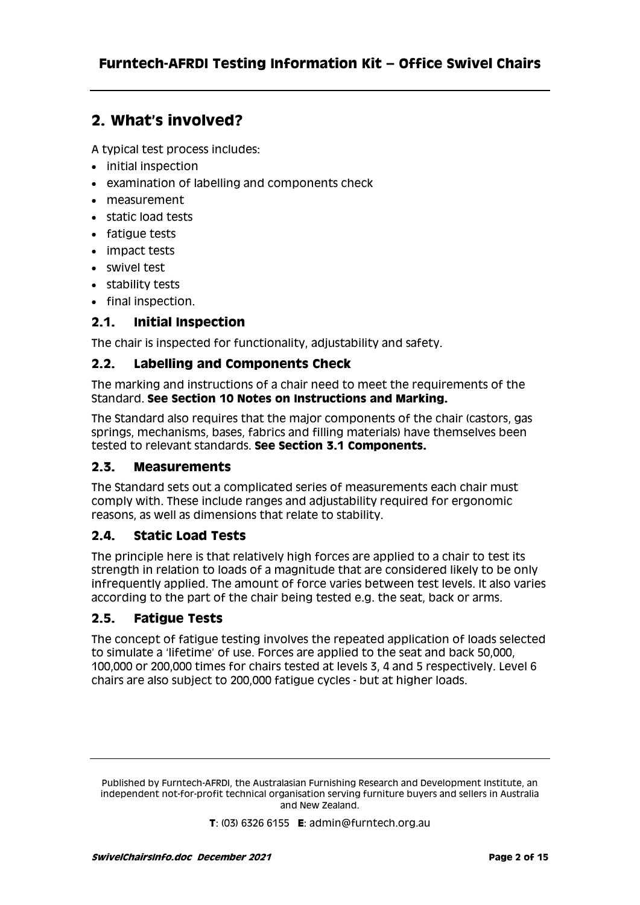# **2. What's involved?**

A typical test process includes:

- initial inspection
- examination of labelling and components check
- measurement
- static load tests
- fatique tests
- impact tests
- swivel test
- stability tests
- final inspection.

### **2.1. Initial Inspection**

The chair is inspected for functionality, adjustability and safety.

### **2.2. Labelling and Components Check**

The marking and instructions of a chair need to meet the requirements of the Standard. **See Section 10 Notes on Instructions and Marking.**

The Standard also requires that the major components of the chair (castors, gas springs, mechanisms, bases, fabrics and filling materials) have themselves been tested to relevant standards. **See Section 3.1 Components.**

### **2.3. Measurements**

The Standard sets out a complicated series of measurements each chair must comply with. These include ranges and adjustability required for ergonomic reasons, as well as dimensions that relate to stability.

### **2.4. Static Load Tests**

The principle here is that relatively high forces are applied to a chair to test its strength in relation to loads of a magnitude that are considered likely to be only infrequently applied. The amount of force varies between test levels. It also varies according to the part of the chair being tested e.g. the seat, back or arms.

### **2.5. Fatigue Tests**

The concept of fatigue testing involves the repeated application of loads selected to simulate a 'lifetime' of use. Forces are applied to the seat and back 50,000, 100,000 or 200,000 times for chairs tested at levels 3, 4 and 5 respectively. Level 6 chairs are also subject to 200,000 fatigue cycles - but at higher loads.

Published by Furntech-AFRDI, the Australasian Furnishing Research and Development Institute, an independent not-for-profit technical organisation serving furniture buyers and sellers in Australia and New Zealand.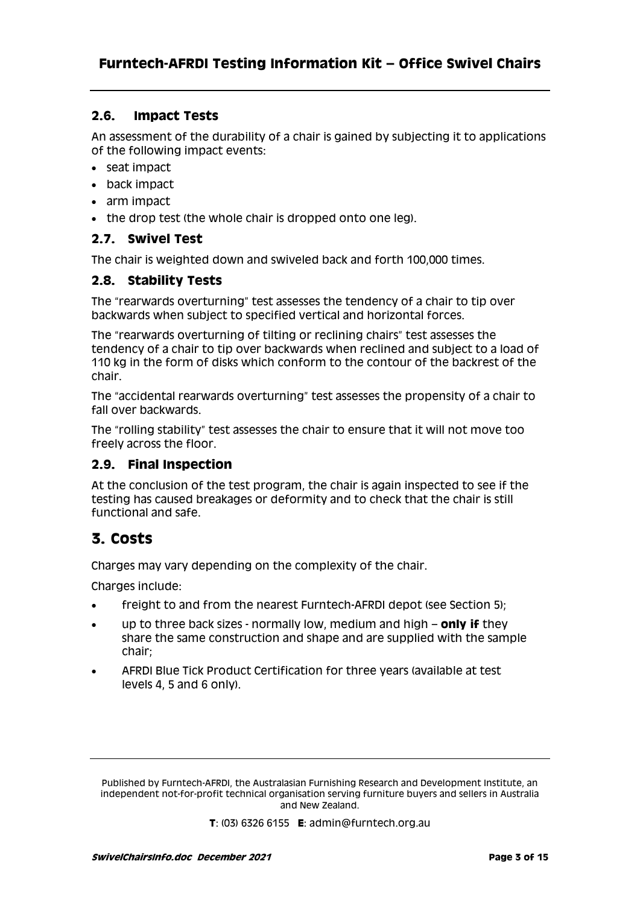### **2.6. Impact Tests**

An assessment of the durability of a chair is gained by subjecting it to applications of the following impact events:

- seat impact
- back impact
- arm impact
- the drop test (the whole chair is dropped onto one leg).

### **2.7. Swivel Test**

The chair is weighted down and swiveled back and forth 100,000 times.

### **2.8. Stability Tests**

The "rearwards overturning" test assesses the tendency of a chair to tip over backwards when subject to specified vertical and horizontal forces.

The "rearwards overturning of tilting or reclining chairs" test assesses the tendency of a chair to tip over backwards when reclined and subject to a load of 110 kg in the form of disks which conform to the contour of the backrest of the chair.

The "accidental rearwards overturning" test assesses the propensity of a chair to fall over backwards.

The "rolling stability" test assesses the chair to ensure that it will not move too freely across the floor.

### **2.9. Final Inspection**

At the conclusion of the test program, the chair is again inspected to see if the testing has caused breakages or deformity and to check that the chair is still functional and safe.

# **3. Costs**

Charges may vary depending on the complexity of the chair.

Charges include:

- freight to and from the nearest Furntech-AFRDI depot (see Section 5);
- up to three back sizes normally low, medium and high **only if** they share the same construction and shape and are supplied with the sample chair;
- AFRDI Blue Tick Product Certification for three years (available at test levels 4, 5 and 6 only).

Published by Furntech-AFRDI, the Australasian Furnishing Research and Development Institute, an independent not-for-profit technical organisation serving furniture buyers and sellers in Australia and New Zealand.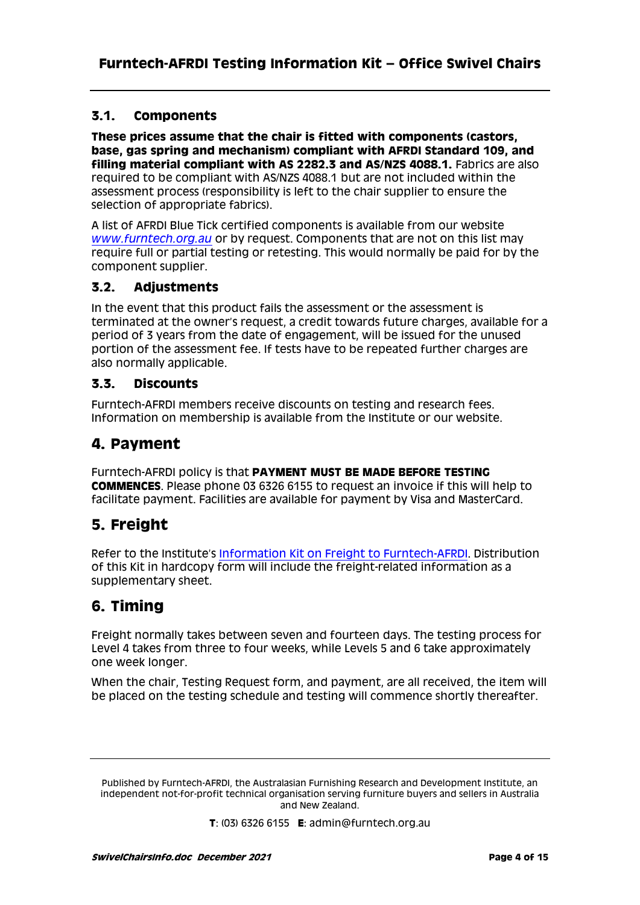### **3.1. Components**

**These prices assume that the chair is fitted with components (castors, base, gas spring and mechanism) compliant with AFRDI Standard 109, and filling material compliant with AS 2282.3 and AS/NZS 4088.1.** Fabrics are also required to be compliant with AS/NZS 4088.1 but are not included within the assessment process (responsibility is left to the chair supplier to ensure the selection of appropriate fabrics).

A list of AFRDI Blue Tick certified components is available from our website *[www.furntech.org.au](http://www.furntech.org.au/)* or by request. Components that are not on this list may require full or partial testing or retesting. This would normally be paid for by the component supplier.

### **3.2. Adjustments**

In the event that this product fails the assessment or the assessment is terminated at the owner's request, a credit towards future charges, available for a period of 3 years from the date of engagement, will be issued for the unused portion of the assessment fee. If tests have to be repeated further charges are also normally applicable.

### **3.3. Discounts**

Furntech-AFRDI members receive discounts on testing and research fees. Information on membership is available from the Institute or our website.

# **4. Payment**

Furntech-AFRDI policy is that **PAYMENT MUST BE MADE BEFORE TESTING COMMENCES**. Please phone 03 6326 6155 to request an invoice if this will help to facilitate payment. Facilities are available for payment by Visa and MasterCard.

# **5. Freight**

Refer to the Institute's [Information Kit on Freight to Furntech-AFRDI.](http://furntech.org.au/pdf/index.php?dir=Corporate/&file=FreightInfo.pdf) Distribution of this Kit in hardcopy form will include the freight-related information as a supplementary sheet.

# **6. Timing**

Freight normally takes between seven and fourteen days. The testing process for Level 4 takes from three to four weeks, while Levels 5 and 6 take approximately one week longer.

When the chair, Testing Request form, and payment, are all received, the item will be placed on the testing schedule and testing will commence shortly thereafter.

Published by Furntech-AFRDI, the Australasian Furnishing Research and Development Institute, an independent not-for-profit technical organisation serving furniture buyers and sellers in Australia and New Zealand.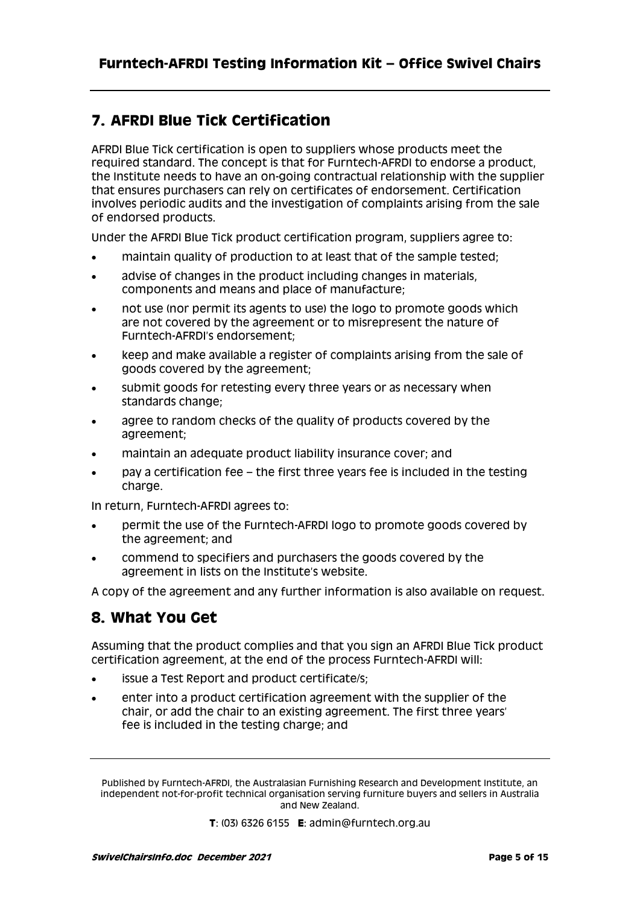# **7. AFRDI Blue Tick Certification**

AFRDI Blue Tick certification is open to suppliers whose products meet the required standard. The concept is that for Furntech-AFRDI to endorse a product, the Institute needs to have an on-going contractual relationship with the supplier that ensures purchasers can rely on certificates of endorsement. Certification involves periodic audits and the investigation of complaints arising from the sale of endorsed products.

Under the AFRDI Blue Tick product certification program, suppliers agree to:

- maintain quality of production to at least that of the sample tested;
- advise of changes in the product including changes in materials, components and means and place of manufacture;
- not use (nor permit its agents to use) the logo to promote goods which are not covered by the agreement or to misrepresent the nature of Furntech-AFRDI's endorsement;
- keep and make available a register of complaints arising from the sale of goods covered by the agreement;
- submit goods for retesting every three years or as necessary when standards change;
- agree to random checks of the quality of products covered by the agreement;
- maintain an adequate product liability insurance cover; and
- pay a certification fee the first three years fee is included in the testing charge.

In return, Furntech-AFRDI agrees to:

- permit the use of the Furntech-AFRDI logo to promote goods covered by the agreement; and
- commend to specifiers and purchasers the goods covered by the agreement in lists on the Institute's website.

A copy of the agreement and any further information is also available on request.

# **8. What You Get**

Assuming that the product complies and that you sign an AFRDI Blue Tick product certification agreement, at the end of the process Furntech-AFRDI will:

- issue a Test Report and product certificate/s;
- enter into a product certification agreement with the supplier of the chair, or add the chair to an existing agreement. The first three years' fee is included in the testing charge; and

Published by Furntech-AFRDI, the Australasian Furnishing Research and Development Institute, an independent not-for-profit technical organisation serving furniture buyers and sellers in Australia and New Zealand.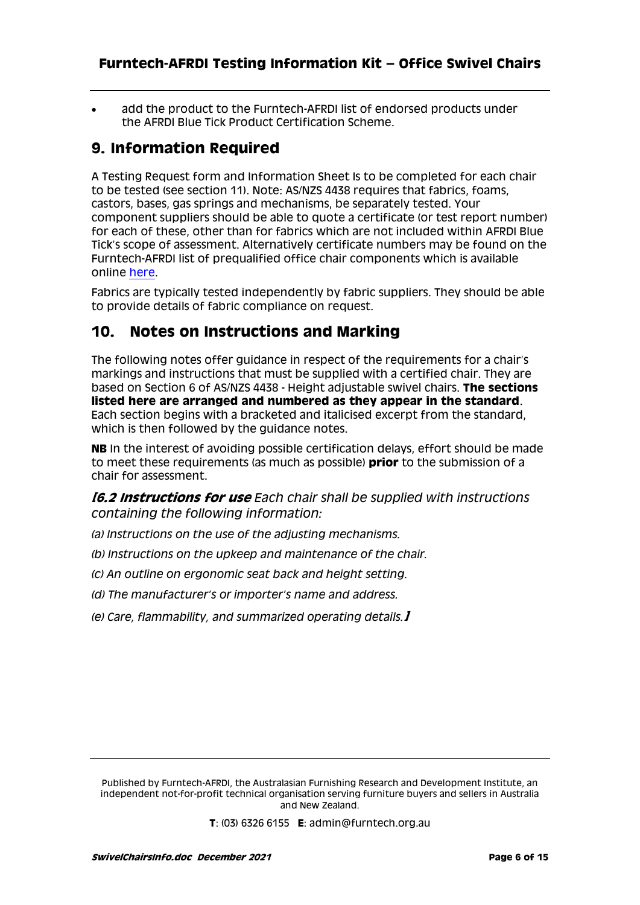add the product to the Furntech-AFRDI list of endorsed products under the AFRDI Blue Tick Product Certification Scheme.

# **9. Information Required**

A Testing Request form and Information Sheet Is to be completed for each chair to be tested (see section 11). Note: AS/NZS 4438 requires that fabrics, foams, castors, bases, gas springs and mechanisms, be separately tested. Your component suppliers should be able to quote a certificate (or test report number) for each of these, other than for fabrics which are not included within AFRDI Blue Tick's scope of assessment. Alternatively certificate numbers may be found on the Furntech-AFRDI list of prequalified office chair components which is available online [here.](http://www.furntech.org.au/index.php/commercial_furniture/detail/chair-components)

Fabrics are typically tested independently by fabric suppliers. They should be able to provide details of fabric compliance on request.

# **10. Notes on Instructions and Marking**

The following notes offer guidance in respect of the requirements for a chair's markings and instructions that must be supplied with a certified chair. They are based on Section 6 of AS/NZS 4438 - Height adjustable swivel chairs. **The sections listed here are arranged and numbered as they appear in the standard**. Each section begins with a bracketed and italicised excerpt from the standard, which is then followed by the guidance notes.

**NB** In the interest of avoiding possible certification delays, effort should be made to meet these requirements (as much as possible) **prior** to the submission of a chair for assessment.

**[6.2 Instructions for use** *Each chair shall be supplied with instructions containing the following information:*

- *(a) Instructions on the use of the adjusting mechanisms.*
- *(b) Instructions on the upkeep and maintenance of the chair.*
- *(c) An outline on ergonomic seat back and height setting.*
- *(d) The manufacturer's or importer's name and address.*
- *(e) Care, flammability, and summarized operating details.***]**

Published by Furntech-AFRDI, the Australasian Furnishing Research and Development Institute, an independent not-for-profit technical organisation serving furniture buyers and sellers in Australia and New Zealand.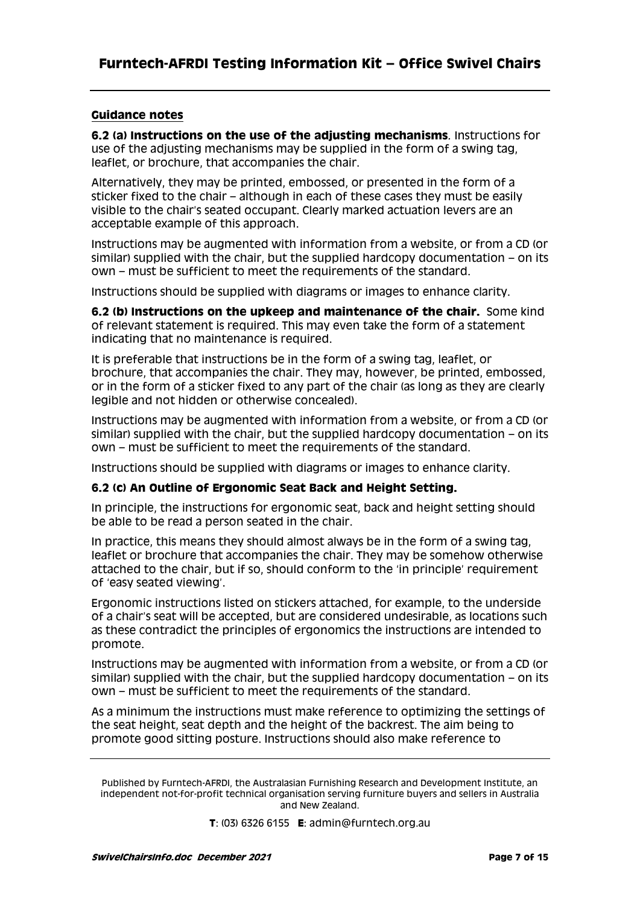#### **Guidance notes**

**6.2 (a) Instructions on the use of the adjusting mechanisms***.* Instructions for use of the adjusting mechanisms may be supplied in the form of a swing tag, leaflet, or brochure, that accompanies the chair.

Alternatively, they may be printed, embossed, or presented in the form of a sticker fixed to the chair – although in each of these cases they must be easily visible to the chair's seated occupant. Clearly marked actuation levers are an acceptable example of this approach.

Instructions may be augmented with information from a website, or from a CD (or similar) supplied with the chair, but the supplied hardcopy documentation – on its own – must be sufficient to meet the requirements of the standard.

Instructions should be supplied with diagrams or images to enhance clarity.

**6.2 (b) Instructions on the upkeep and maintenance of the chair.** Some kind of relevant statement is required. This may even take the form of a statement indicating that no maintenance is required.

It is preferable that instructions be in the form of a swing tag, leaflet, or brochure, that accompanies the chair. They may, however, be printed, embossed, or in the form of a sticker fixed to any part of the chair (as long as they are clearly legible and not hidden or otherwise concealed).

Instructions may be augmented with information from a website, or from a CD (or similar) supplied with the chair, but the supplied hardcopy documentation – on its own – must be sufficient to meet the requirements of the standard.

Instructions should be supplied with diagrams or images to enhance clarity.

#### **6.2 (c) An Outline of Ergonomic Seat Back and Height Setting.**

In principle, the instructions for ergonomic seat, back and height setting should be able to be read a person seated in the chair.

In practice, this means they should almost always be in the form of a swing tag, leaflet or brochure that accompanies the chair. They may be somehow otherwise attached to the chair, but if so, should conform to the 'in principle' requirement of 'easy seated viewing'.

Ergonomic instructions listed on stickers attached, for example, to the underside of a chair's seat will be accepted, but are considered undesirable, as locations such as these contradict the principles of ergonomics the instructions are intended to promote.

Instructions may be augmented with information from a website, or from a CD (or similar) supplied with the chair, but the supplied hardcopy documentation – on its own – must be sufficient to meet the requirements of the standard.

As a minimum the instructions must make reference to optimizing the settings of the seat height, seat depth and the height of the backrest. The aim being to promote good sitting posture. Instructions should also make reference to

Published by Furntech-AFRDI, the Australasian Furnishing Research and Development Institute, an independent not-for-profit technical organisation serving furniture buyers and sellers in Australia and New Zealand.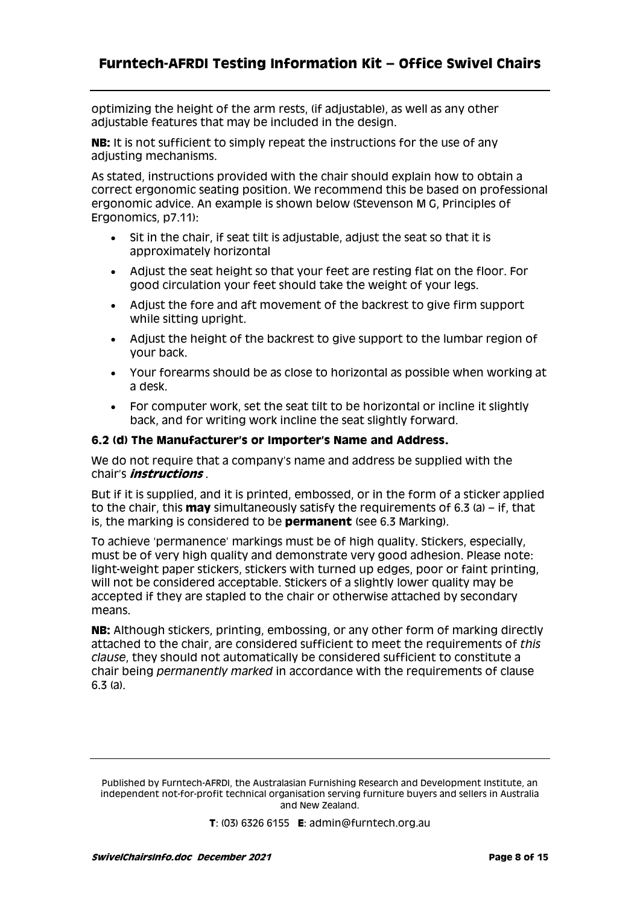### **Furntech-AFRDI Testing Information Kit – Office Swivel Chairs**

optimizing the height of the arm rests, (if adjustable), as well as any other adjustable features that may be included in the design.

**NB:** It is not sufficient to simply repeat the instructions for the use of any adjusting mechanisms.

As stated, instructions provided with the chair should explain how to obtain a correct ergonomic seating position. We recommend this be based on professional ergonomic advice. An example is shown below (Stevenson M G, Principles of Ergonomics, p7.11):

- Sit in the chair, if seat tilt is adjustable, adjust the seat so that it is approximately horizontal
- Adjust the seat height so that your feet are resting flat on the floor. For good circulation your feet should take the weight of your legs.
- Adjust the fore and aft movement of the backrest to give firm support while sitting upright.
- Adjust the height of the backrest to give support to the lumbar region of your back.
- Your forearms should be as close to horizontal as possible when working at a desk.
- For computer work, set the seat tilt to be horizontal or incline it slightly back, and for writing work incline the seat slightly forward.

#### **6.2 (d) The Manufacturer's or Importer's Name and Address.**

We do not require that a company's name and address be supplied with the chair's **instructions** .

But if it is supplied, and it is printed, embossed, or in the form of a sticker applied to the chair, this **may** simultaneously satisfy the requirements of 6.3 (a) – if, that is, the marking is considered to be **permanent** (see 6.3 Marking).

To achieve 'permanence' markings must be of high quality. Stickers, especially, must be of very high quality and demonstrate very good adhesion. Please note: light-weight paper stickers, stickers with turned up edges, poor or faint printing, will not be considered acceptable. Stickers of a slightly lower quality may be accepted if they are stapled to the chair or otherwise attached by secondary means.

**NB:** Although stickers, printing, embossing, or any other form of marking directly attached to the chair, are considered sufficient to meet the requirements of *this clause*, they should not automatically be considered sufficient to constitute a chair being *permanently marked* in accordance with the requirements of clause 6.3 (a).

Published by Furntech-AFRDI, the Australasian Furnishing Research and Development Institute, an independent not-for-profit technical organisation serving furniture buyers and sellers in Australia and New Zealand.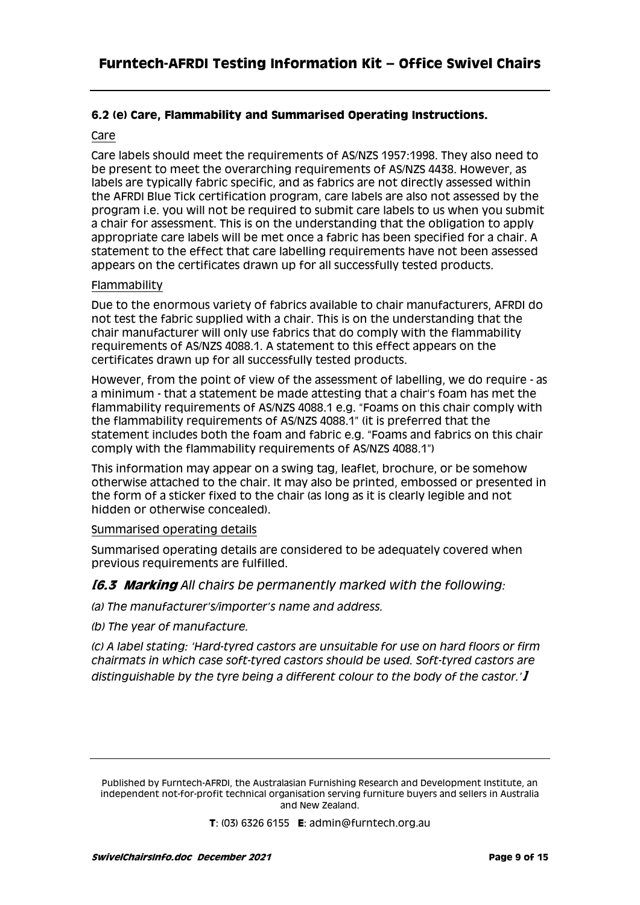#### **6.2 (e) Care, Flammability and Summarised Operating Instructions.**

#### Care

Care labels should meet the requirements of AS/NZS 1957:1998. They also need to be present to meet the overarching requirements of AS/NZS 4438. However, as labels are typically fabric specific, and as fabrics are not directly assessed within the AFRDI Blue Tick certification program, care labels are also not assessed by the program i.e. you will not be required to submit care labels to us when you submit a chair for assessment. This is on the understanding that the obligation to apply appropriate care labels will be met once a fabric has been specified for a chair. A statement to the effect that care labelling requirements have not been assessed appears on the certificates drawn up for all successfully tested products.

#### Flammability

Due to the enormous variety of fabrics available to chair manufacturers, AFRDI do not test the fabric supplied with a chair. This is on the understanding that the chair manufacturer will only use fabrics that do comply with the flammability requirements of AS/NZS 4088.1. A statement to this effect appears on the certificates drawn up for all successfully tested products.

However, from the point of view of the assessment of labelling, we do require - as a minimum - that a statement be made attesting that a chair's foam has met the flammability requirements of AS/NZS 4088.1 e.g. "Foams on this chair comply with the flammability requirements of AS/NZS 4088.1" (it is preferred that the statement includes both the foam and fabric e.g. "Foams and fabrics on this chair comply with the flammability requirements of AS/NZS 4088.1")

This information may appear on a swing tag, leaflet, brochure, or be somehow otherwise attached to the chair. It may also be printed, embossed or presented in the form of a sticker fixed to the chair (as long as it is clearly legible and not hidden or otherwise concealed).

#### Summarised operating details

Summarised operating details are considered to be adequately covered when previous requirements are fulfilled.

#### **[6.3 Marking** *All chairs be permanently marked with the following:*

*(a) The manufacturer's/importer's name and address.*

*(b) The year of manufacture.*

*(c) A label stating: 'Hard-tyred castors are unsuitable for use on hard floors or firm chairmats in which case soft-tyred castors should be used. Soft-tyred castors are distinguishable by the tyre being a different colour to the body of the castor.'***]**

Published by Furntech-AFRDI, the Australasian Furnishing Research and Development Institute, an independent not-for-profit technical organisation serving furniture buyers and sellers in Australia and New Zealand.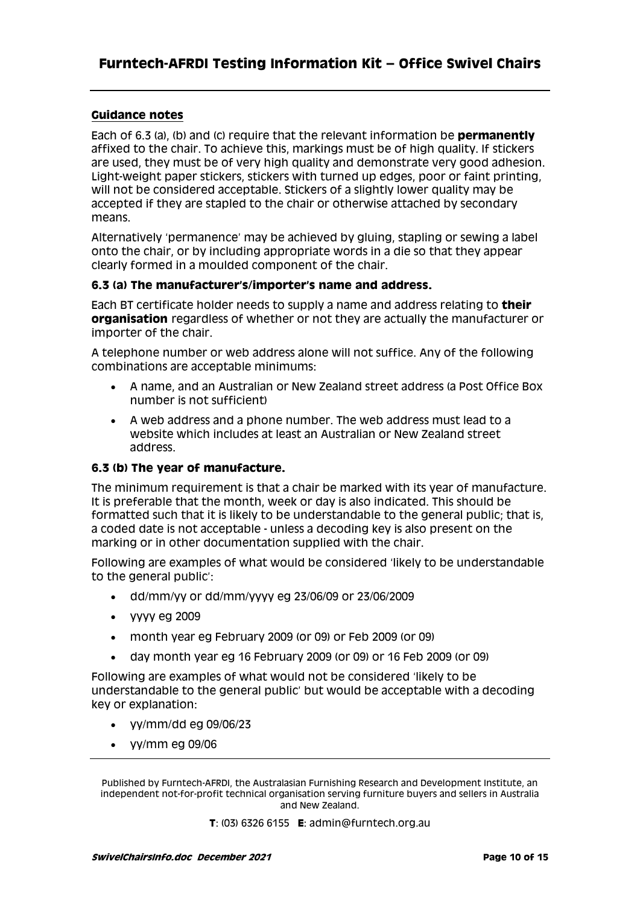#### **Guidance notes**

Each of 6.3 (a), (b) and (c) require that the relevant information be **permanently** affixed to the chair. To achieve this, markings must be of high quality. If stickers are used, they must be of very high quality and demonstrate very good adhesion. Light-weight paper stickers, stickers with turned up edges, poor or faint printing, will not be considered acceptable. Stickers of a slightly lower quality may be accepted if they are stapled to the chair or otherwise attached by secondary means.

Alternatively 'permanence' may be achieved by gluing, stapling or sewing a label onto the chair, or by including appropriate words in a die so that they appear clearly formed in a moulded component of the chair.

#### **6.3 (a) The manufacturer's/importer's name and address.**

Each BT certificate holder needs to supply a name and address relating to **their organisation** regardless of whether or not they are actually the manufacturer or importer of the chair.

A telephone number or web address alone will not suffice. Any of the following combinations are acceptable minimums:

- A name, and an Australian or New Zealand street address (a Post Office Box number is not sufficient)
- A web address and a phone number. The web address must lead to a website which includes at least an Australian or New Zealand street address.

#### **6.3 (b) The year of manufacture.**

The minimum requirement is that a chair be marked with its year of manufacture. It is preferable that the month, week or day is also indicated. This should be formatted such that it is likely to be understandable to the general public; that is, a coded date is not acceptable - unless a decoding key is also present on the marking or in other documentation supplied with the chair.

Following are examples of what would be considered 'likely to be understandable to the general public':

- dd/mm/yy or dd/mm/yyyy eg 23/06/09 or 23/06/2009
- Vyyy eg 2009
- month year eg February 2009 (or 09) or Feb 2009 (or 09)
- day month year eg 16 February 2009 (or 09) or 16 Feb 2009 (or 09)

Following are examples of what would not be considered 'likely to be understandable to the general public' but would be acceptable with a decoding key or explanation:

- yy/mm/dd eg 09/06/23
- $\bullet$  yy/mm eg 09/06

Published by Furntech-AFRDI, the Australasian Furnishing Research and Development Institute, an independent not-for-profit technical organisation serving furniture buyers and sellers in Australia and New Zealand.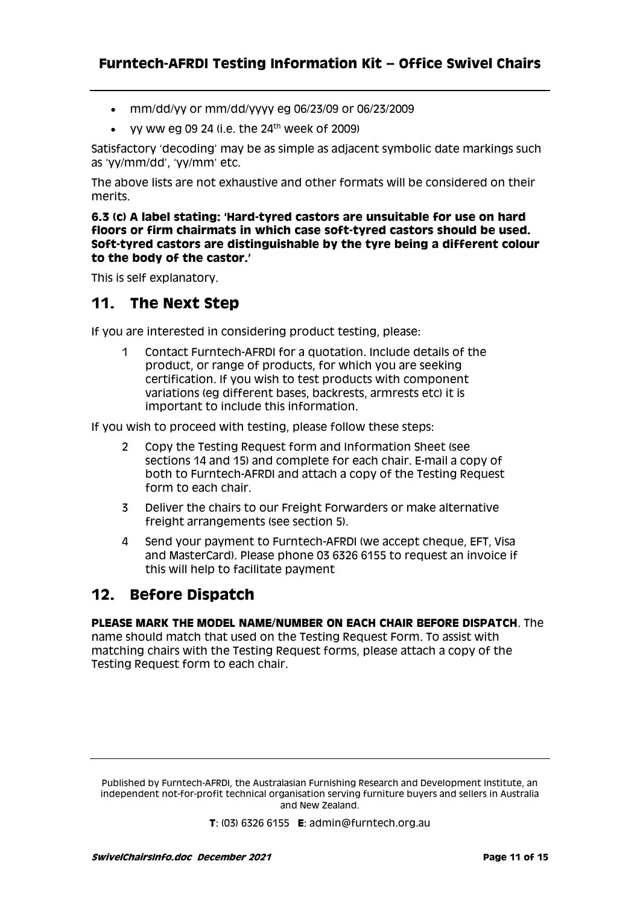- mm/dd/yy or mm/dd/yyyy eg 06/23/09 or 06/23/2009
- yy ww eg 09 24 (i.e. the  $24<sup>th</sup>$  week of 2009)

Satisfactory 'decoding' may be as simple as adjacent symbolic date markings such as 'yy/mm/dd', 'yy/mm' etc.

The above lists are not exhaustive and other formats will be considered on their merits.

**6.3 (c) A label stating: 'Hard-tyred castors are unsuitable for use on hard floors or firm chairmats in which case soft-tyred castors should be used. Soft-tyred castors are distinguishable by the tyre being a different colour to the body of the castor.'**

This is self explanatory.

# **11. The Next Step**

If you are interested in considering product testing, please:

1 Contact Furntech-AFRDI for a quotation. Include details of the product, or range of products, for which you are seeking certification. If you wish to test products with component variations (eg different bases, backrests, armrests etc) it is important to include this information.

If you wish to proceed with testing, please follow these steps:

- 2 Copy the Testing Request form and Information Sheet (see sections 14 and 15) and complete for each chair. E-mail a copy of both to Furntech-AFRDI and attach a copy of the Testing Request form to each chair.
- 3 Deliver the chairs to our Freight Forwarders or make alternative freight arrangements (see section 5).
- 4 Send your payment to Furntech-AFRDI (we accept cheque, EFT, Visa and MasterCard). Please phone 03 6326 6155 to request an invoice if this will help to facilitate payment

# **12. Before Dispatch**

#### **PLEASE MARK THE MODEL NAME/NUMBER ON EACH CHAIR BEFORE DISPATCH**. The

name should match that used on the Testing Request Form. To assist with matching chairs with the Testing Request forms, please attach a copy of the Testing Request form to each chair.

Published by Furntech-AFRDI, the Australasian Furnishing Research and Development Institute, an independent not-for-profit technical organisation serving furniture buyers and sellers in Australia and New Zealand.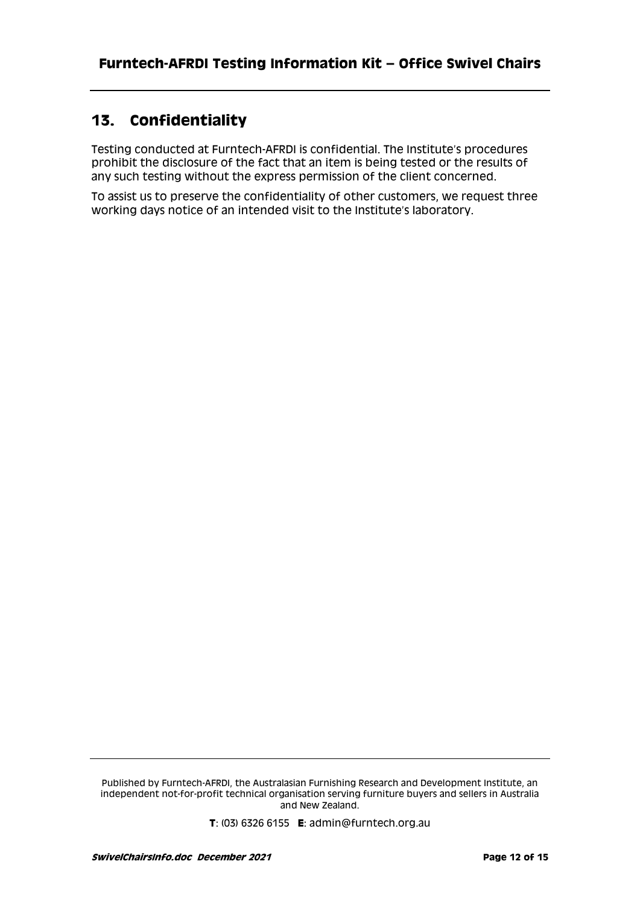# **13. Confidentiality**

Testing conducted at Furntech-AFRDI is confidential. The Institute's procedures prohibit the disclosure of the fact that an item is being tested or the results of any such testing without the express permission of the client concerned.

To assist us to preserve the confidentiality of other customers, we request three working days notice of an intended visit to the Institute's laboratory.

Published by Furntech-AFRDI, the Australasian Furnishing Research and Development Institute, an independent not-for-profit technical organisation serving furniture buyers and sellers in Australia and New Zealand.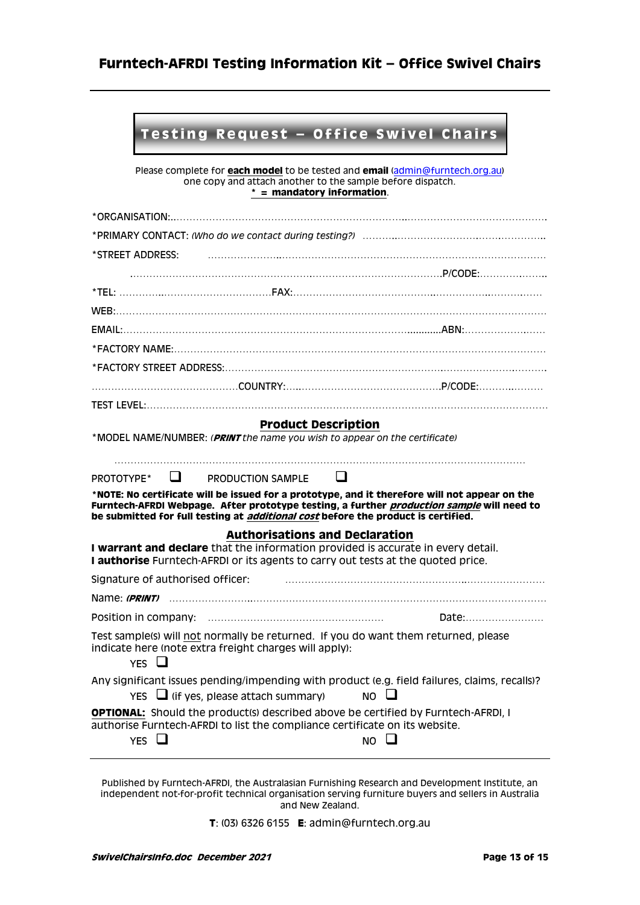# **Furntech-AFRDI Testing Information Kit – Office Swivel Chairs**

# **Testing Request - Office Swivel Chairs**

Please complete for **each model** to be tested and **email** [\(admin@furntech.org.au\)](mailto:admin@furntech.org.au) one copy and attach another to the sample before dispatch. **\* = mandatory information**.

| *ORGANISATION:                                                                                                                                                                                                                                                                                |                 |  |  |  |
|-----------------------------------------------------------------------------------------------------------------------------------------------------------------------------------------------------------------------------------------------------------------------------------------------|-----------------|--|--|--|
|                                                                                                                                                                                                                                                                                               |                 |  |  |  |
| *STREET ADDRESS:                                                                                                                                                                                                                                                                              |                 |  |  |  |
|                                                                                                                                                                                                                                                                                               |                 |  |  |  |
|                                                                                                                                                                                                                                                                                               |                 |  |  |  |
|                                                                                                                                                                                                                                                                                               |                 |  |  |  |
|                                                                                                                                                                                                                                                                                               |                 |  |  |  |
|                                                                                                                                                                                                                                                                                               |                 |  |  |  |
|                                                                                                                                                                                                                                                                                               |                 |  |  |  |
|                                                                                                                                                                                                                                                                                               |                 |  |  |  |
|                                                                                                                                                                                                                                                                                               |                 |  |  |  |
| <b>Product Description</b>                                                                                                                                                                                                                                                                    |                 |  |  |  |
| *MODEL NAME/NUMBER: (PRINT the name you wish to appear on the certificate)                                                                                                                                                                                                                    |                 |  |  |  |
|                                                                                                                                                                                                                                                                                               |                 |  |  |  |
| ப<br>ப<br>PROTOTYPE*<br>PRODUCTION SAMPLE                                                                                                                                                                                                                                                     |                 |  |  |  |
| *NOTE: No certificate will be issued for a prototype, and it therefore will not appear on the<br>Furntech-AFRDI Webpage. After prototype testing, a further <i>production sample</i> will need to<br>be submitted for full testing at <i>additional cost</i> before the product is certified. |                 |  |  |  |
| <b>Authorisations and Declaration</b>                                                                                                                                                                                                                                                         |                 |  |  |  |
| I warrant and declare that the information provided is accurate in every detail.<br>I authorise Furntech-AFRDI or its agents to carry out tests at the quoted price.                                                                                                                          |                 |  |  |  |
| Signature of authorised officer:                                                                                                                                                                                                                                                              |                 |  |  |  |
| Name: <i>(PRINT)</i>                                                                                                                                                                                                                                                                          |                 |  |  |  |
|                                                                                                                                                                                                                                                                                               | Date:           |  |  |  |
| Test sample(s) will not normally be returned. If you do want them returned, please<br>indicate here (note extra freight charges will apply):<br>YES $\Box$                                                                                                                                    |                 |  |  |  |
| Any significant issues pending/impending with product (e.g. field failures, claims, recalls)?<br>$Yes \Box$ (if yes, please attach summary)                                                                                                                                                   | $NO \quad \Box$ |  |  |  |
| <b>OPTIONAL:</b> Should the product(s) described above be certified by Furntech-AFRDI, I<br>authorise Furntech-AFRDI to list the compliance certificate on its website.<br><b>YES</b>                                                                                                         | NO.             |  |  |  |

Published by Furntech-AFRDI, the Australasian Furnishing Research and Development Institute, an independent not-for-profit technical organisation serving furniture buyers and sellers in Australia and New Zealand.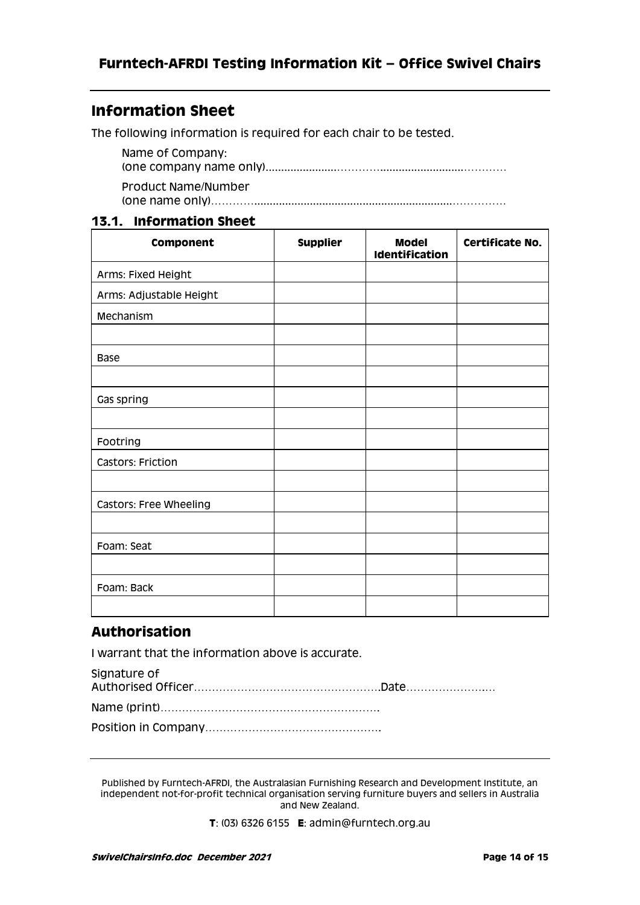# **Information Sheet**

The following information is required for each chair to be tested.

Name of Company: (one company name only).......................…………...........................………… Product Name/Number (one name only)…………................................................................……………

### **13.1. Information Sheet**

| Component               | <b>Supplier</b> | <b>Model</b><br>Identification | Certificate No. |
|-------------------------|-----------------|--------------------------------|-----------------|
| Arms: Fixed Height      |                 |                                |                 |
| Arms: Adjustable Height |                 |                                |                 |
| Mechanism               |                 |                                |                 |
|                         |                 |                                |                 |
| <b>Base</b>             |                 |                                |                 |
|                         |                 |                                |                 |
| Gas spring              |                 |                                |                 |
|                         |                 |                                |                 |
| Footring                |                 |                                |                 |
| Castors: Friction       |                 |                                |                 |
|                         |                 |                                |                 |
| Castors: Free Wheeling  |                 |                                |                 |
|                         |                 |                                |                 |
| Foam: Seat              |                 |                                |                 |
|                         |                 |                                |                 |
| Foam: Back              |                 |                                |                 |
|                         |                 |                                |                 |

### **Authorisation**

I warrant that the information above is accurate.

| Signature of |  |
|--------------|--|
|              |  |
|              |  |
|              |  |
|              |  |

Published by Furntech-AFRDI, the Australasian Furnishing Research and Development Institute, an independent not-for-profit technical organisation serving furniture buyers and sellers in Australia and New Zealand.